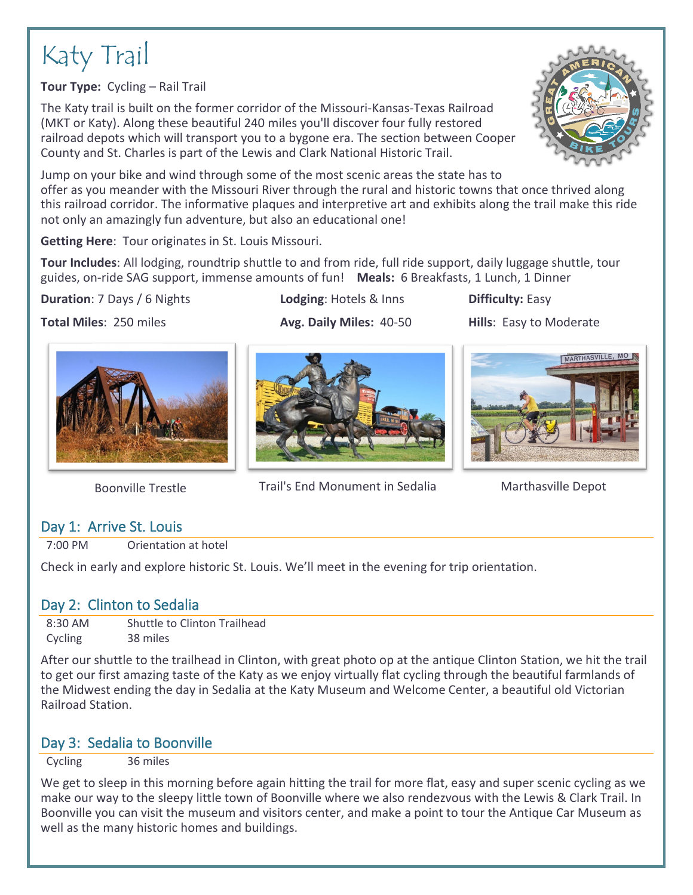# Katy Trail

**Tour Type:** Cycling – Rail Trail

The Katy trail is built on the former corridor of the Missouri-Kansas-Texas Railroad (MKT or Katy). Along these beautiful 240 miles you'll discover four fully restored railroad depots which will transport you to a bygone era. The section between Cooper County and St. Charles is part of the Lewis and Clark National Historic Trail.

Jump on your bike and wind through some of the most scenic areas the state has to offer as you meander with the Missouri River through the rural and historic towns that once thrived along this railroad corridor. The informative plaques and interpretive art and exhibits along the trail make this ride not only an amazingly fun adventure, but also an educational one!

**Getting Here**: Tour originates in St. Louis Missouri.

**Tour Includes**: All lodging, roundtrip shuttle to and from ride, full ride support, daily luggage shuttle, tour guides, on-ride SAG support, immense amounts of fun! **Meals:** 6 Breakfasts, 1 Lunch, 1 Dinner

#### **Duration**: 7 Days / 6 Nights **Lodging**: Hotels & Inns **Difficulty:** Easy











Boonville Trestle Trail's End Monument in Sedalia Marthasville Depot

# Day 1: Arrive St. Louis

7:00 PM Orientation at hotel

Check in early and explore historic St. Louis. We'll meet in the evening for trip orientation.

# Day 2: Clinton to Sedalia

8:30 AM Shuttle to Clinton Trailhead Cycling 38 miles

After our shuttle to the trailhead in Clinton, with great photo op at the antique Clinton Station, we hit the trail to get our first amazing taste of the Katy as we enjoy virtually flat cycling through the beautiful farmlands of the Midwest ending the day in Sedalia at the Katy Museum and Welcome Center, a beautiful old Victorian Railroad Station.

# Day 3: Sedalia to Boonville

Cycling 36 miles

We get to sleep in this morning before again hitting the trail for more flat, easy and super scenic cycling as we make our way to the sleepy little town of Boonville where we also rendezvous with the Lewis & Clark Trail. In Boonville you can visit the museum and visitors center, and make a point to tour the Antique Car Museum as well as the many historic homes and buildings.



MARTHASVILLE, MC